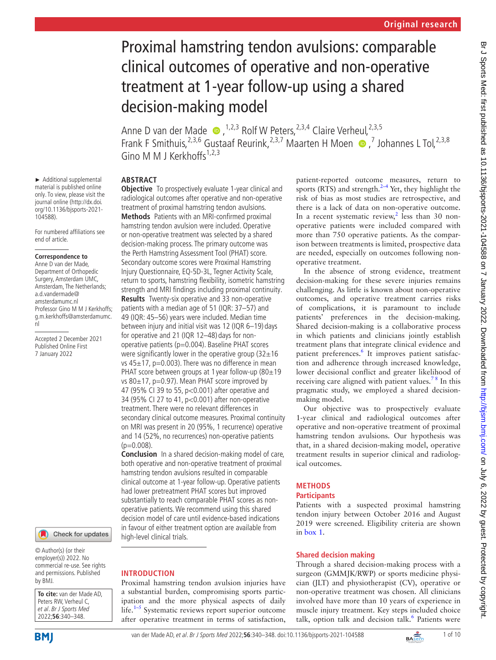# Proximal hamstring tendon avulsions: comparable clinical outcomes of operative and non-operative treatment at 1-year follow-up using a shared decision-making model

Anne D van der Made  $\bullet$ , <sup>1,2,3</sup> Rolf W Peters, <sup>2,3,4</sup> Claire Verheul, <sup>2,3,5</sup> FrankF Smithuis,  $2,3,6$  Gustaaf Reurink,  $2,3,7$  Maarten H Moen  $\odot$  , 7 Johannes L Tol,  $2,3,8$ Gino M M I Kerkhoffs $1,2,3$ 

# **ABSTRACT**

► Additional supplemental material is published online only. To view, please visit the journal online ([http://dx.doi.](http://dx.doi.org/10.1136/bjsports-2021-104588) [org/10.1136/bjsports-2021-](http://dx.doi.org/10.1136/bjsports-2021-104588)

For numbered affiliations see

Professor Gino M M J Kerkhoffs; g.m.kerkhoffs@amsterdamumc.

Accepted 2 December 2021 Published Online First 7 January 2022

**Correspondence to** Anne D van der Made, Department of Orthopedic Surgery, Amsterdam UMC, Amsterdam, The Netherlands; a.d.vandermade@ amsterdamumc.nl

[104588](http://dx.doi.org/10.1136/bjsports-2021-104588)).

nl

end of article.

**Objective** To prospectively evaluate 1-year clinical and radiological outcomes after operative and non-operative treatment of proximal hamstring tendon avulsions. **Methods** Patients with an MRI-confirmed proximal hamstring tendon avulsion were included. Operative or non-operative treatment was selected by a shared decision-making process. The primary outcome was the Perth Hamstring Assessment Tool (PHAT) score. Secondary outcome scores were Proximal Hamstring Injury Questionnaire, EQ-5D-3L, Tegner Activity Scale, return to sports, hamstring flexibility, isometric hamstring strength and MRI findings including proximal continuity. **Results** Twenty-six operative and 33 non-operative

patients with a median age of 51 (IQR: 37–57) and 49 (IQR: 45–56) years were included. Median time between injury and initial visit was 12 (IQR 6–19) days for operative and 21 (IQR 12–48) days for nonoperative patients (p=0.004). Baseline PHAT scores were significantly lower in the operative group  $(32\pm16)$ vs  $45\pm17$ , p=0.003). There was no difference in mean PHAT score between groups at 1 year follow-up (80±19 vs  $80\pm17$ , p=0.97). Mean PHAT score improved by 47 (95% CI 39 to 55, p<0.001) after operative and 34 (95% CI 27 to 41, p<0.001) after non-operative treatment. There were no relevant differences in secondary clinical outcome measures. Proximal continuity on MRI was present in 20 (95%, 1 recurrence) operative and 14 (52%, no recurrences) non-operative patients  $(p=0.008)$ .

**Conclusion** In a shared decision-making model of care, both operative and non-operative treatment of proximal hamstring tendon avulsions resulted in comparable clinical outcome at 1-year follow-up. Operative patients had lower pretreatment PHAT scores but improved substantially to reach comparable PHAT scores as nonoperative patients. We recommend using this shared decision model of care until evidence-based indications in favour of either treatment option are available from high-level clinical trials.

# © Author(s) (or their

**INTRODUCTION**

employer(s)) 2022. No commercial re-use. See rights and permissions. Published by BMJ.

Check for updates

**To cite:** van der Made AD, Peters RW, Verheul C, et al. Br J Sports Med 2022;**56**:340–348.

Proximal hamstring tendon avulsion injuries have a substantial burden, compromising sports participation and the more physical aspects of daily life. $1-5$  Systematic reviews report superior outcome after operative treatment in terms of satisfaction,

patient-reported outcome measures, return to sports (RTS) and strength. $2-4$  Yet, they highlight the risk of bias as most studies are retrospective, and there is a lack of data on non-operative outcome. In a recent systematic review,<sup>[2](#page-8-1)</sup> less than 30 nonoperative patients were included compared with more than 750 operative patients. As the comparison between treatments is limited, prospective data are needed, especially on outcomes following nonoperative treatment.

In the absence of strong evidence, treatment decision-making for these severe injuries remains challenging. As little is known about non-operative outcomes, and operative treatment carries risks of complications, it is paramount to include patients' preferences in the decision-making. Shared decision-making is a collaborative process in which patients and clinicians jointly establish treatment plans that integrate clinical evidence and patient preferences.<sup>[6](#page-9-0)</sup> It improves patient satisfaction and adherence through increased knowledge, lower decisional conflict and greater likelihood of receiving care aligned with patient values.<sup>78</sup> In this pragmatic study, we employed a shared decisionmaking model.

Our objective was to prospectively evaluate 1-year clinical and radiological outcomes after operative and non-operative treatment of proximal hamstring tendon avulsions. Our hypothesis was that, in a shared decision-making model, operative treatment results in superior clinical and radiological outcomes.

# **METHODS**

# **Participants**

Patients with a suspected proximal hamstring tendon injury between October 2016 and August 2019 were screened. Eligibility criteria are shown in [box](#page-1-0) 1.

# **Shared decision making**

Through a shared decision-making process with a surgeon (GMMJK/RWP) or sports medicine physician (JLT) and physiotherapist (CV), operative or non-operative treatment was chosen. All clinicians involved have more than 10 years of experience in muscle injury treatment. Key steps included choice talk, option talk and decision talk.<sup>[6](#page-9-0)</sup> Patients were

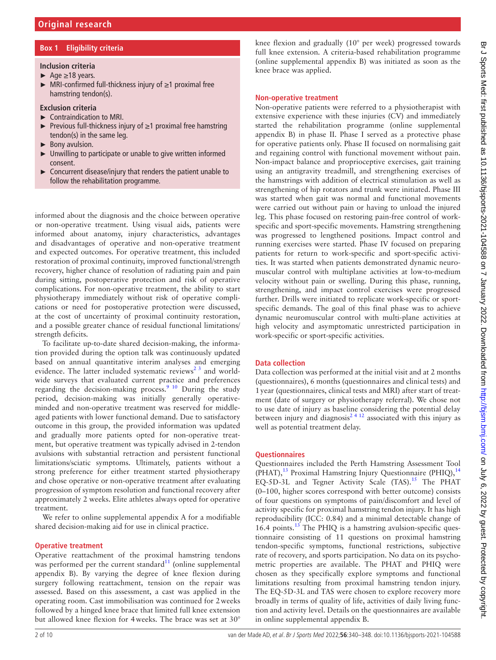## **Box 1 Eligibility criteria**

- <span id="page-1-0"></span>**Inclusion criteria**
- $\rightharpoonup$  Age  $\geq$ 18 years.
- ► MRI-confirmed full-thickness injury of ≥1 proximal free hamstring tendon(s).

#### **Exclusion criteria**

- ► Contraindication to MRI.
- ► Previous full-thickness injury of ≥1 proximal free hamstring tendon(s) in the same leg.
- ► Bony avulsion.
- ► Unwilling to participate or unable to give written informed consent.
- ► Concurrent disease/injury that renders the patient unable to follow the rehabilitation programme.

informed about the diagnosis and the choice between operative or non-operative treatment. Using visual aids, patients were informed about anatomy, injury characteristics, advantages and disadvantages of operative and non-operative treatment and expected outcomes. For operative treatment, this included restoration of proximal continuity, improved functional/strength recovery, higher chance of resolution of radiating pain and pain during sitting, postoperative protection and risk of operative complications. For non-operative treatment, the ability to start physiotherapy immediately without risk of operative complications or need for postoperative protection were discussed, at the cost of uncertainty of proximal continuity restoration, and a possible greater chance of residual functional limitations/ strength deficits.

To facilitate up-to-date shared decision-making, the information provided during the option talk was continuously updated based on annual quantitative interim analyses and emerging evidence. The latter included systematic reviews<sup>2 $3$ </sup> and worldwide surveys that evaluated current practice and preferences regarding the decision-making process.<sup>[9 10](#page-9-2)</sup> During the study period, decision-making was initially generally operativeminded and non-operative treatment was reserved for middleaged patients with lower functional demand. Due to satisfactory outcome in this group, the provided information was updated and gradually more patients opted for non-operative treatment, but operative treatment was typically advised in 2-tendon avulsions with substantial retraction and persistent functional limitations/sciatic symptoms. Ultimately, patients without a strong preference for either treatment started physiotherapy and chose operative or non-operative treatment after evaluating progression of symptom resolution and functional recovery after approximately 2 weeks. Elite athletes always opted for operative treatment.

We refer to [online supplemental appendix A](https://dx.doi.org/10.1136/bjsports-2021-104588) for a modifiable shared decision-making aid for use in clinical practice.

#### **Operative treatment**

Operative reattachment of the proximal hamstring tendons was performed per the current standard $11$  (online supplemental [appendix B](https://dx.doi.org/10.1136/bjsports-2021-104588)). By varying the degree of knee flexion during surgery following reattachment, tension on the repair was assessed. Based on this assessment, a cast was applied in the operating room. Cast immobilisation was continued for 2weeks followed by a hinged knee brace that limited full knee extension but allowed knee flexion for 4weeks. The brace was set at 30°

knee flexion and gradually (10° per week) progressed towards full knee extension. A criteria-based rehabilitation programme ([online supplemental appendix B](https://dx.doi.org/10.1136/bjsports-2021-104588)) was initiated as soon as the knee brace was applied.

#### **Non-operative treatment**

Non-operative patients were referred to a physiotherapist with extensive experience with these injuries (CV) and immediately started the rehabilitation programme [\(online supplemental](https://dx.doi.org/10.1136/bjsports-2021-104588) [appendix B\)](https://dx.doi.org/10.1136/bjsports-2021-104588) in phase II. Phase I served as a protective phase for operative patients only. Phase II focused on normalising gait and regaining control with functional movement without pain. Non-impact balance and proprioceptive exercises, gait training using an antigravity treadmill, and strengthening exercises of the hamstrings with addition of electrical stimulation as well as strengthening of hip rotators and trunk were initiated. Phase III was started when gait was normal and functional movements were carried out without pain or having to unload the injured leg. This phase focused on restoring pain-free control of workspecific and sport-specific movements. Hamstring strengthening was progressed to lengthened positions. Impact control and running exercises were started. Phase IV focused on preparing patients for return to work-specific and sport-specific activities. It was started when patients demonstrated dynamic neuromuscular control with multiplane activities at low-to-medium velocity without pain or swelling. During this phase, running, strengthening, and impact control exercises were progressed further. Drills were initiated to replicate work-specific or sportspecific demands. The goal of this final phase was to achieve dynamic neuromuscular control with multi-plane activities at high velocity and asymptomatic unrestricted participation in work-specific or sport-specific activities.

#### **Data collection**

Data collection was performed at the initial visit and at 2 months (questionnaires), 6 months (questionnaires and clinical tests) and 1year (questionnaires, clinical tests and MRI) after start of treatment (date of surgery or physiotherapy referral). We chose not to use date of injury as baseline considering the potential delay between injury and diagnosis<sup>2 4 12</sup> associated with this injury as well as potential treatment delay.

#### **Questionnaires**

Questionnaires included the Perth Hamstring Assessment Tool  $(PHAT)$ ,<sup>13</sup> Proximal Hamstring Injury Questionnaire (PHIQ),<sup>[14](#page-9-5)</sup> EQ-5D-3L and Tegner Activity Scale (TAS).<sup>15</sup> The PHAT (0–100, higher scores correspond with better outcome) consists of four questions on symptoms of pain/discomfort and level of activity specific for proximal hamstring tendon injury. It has high reproducibility (ICC: 0.84) and a minimal detectable change of 16.4 points. $^{13}$  $^{13}$  $^{13}$  The PHIQ is a hamstring avulsion-specific questionnaire consisting of 11 questions on proximal hamstring tendon-specific symptoms, functional restrictions, subjective rate of recovery, and sports participation. No data on its psychometric properties are available. The PHAT and PHIQ were chosen as they specifically explore symptoms and functional limitations resulting from proximal hamstring tendon injury. The EQ-5D-3L and TAS were chosen to explore recovery more broadly in terms of quality of life, activities of daily living function and activity level. Details on the questionnaires are available in [online supplemental appendix B.](https://dx.doi.org/10.1136/bjsports-2021-104588)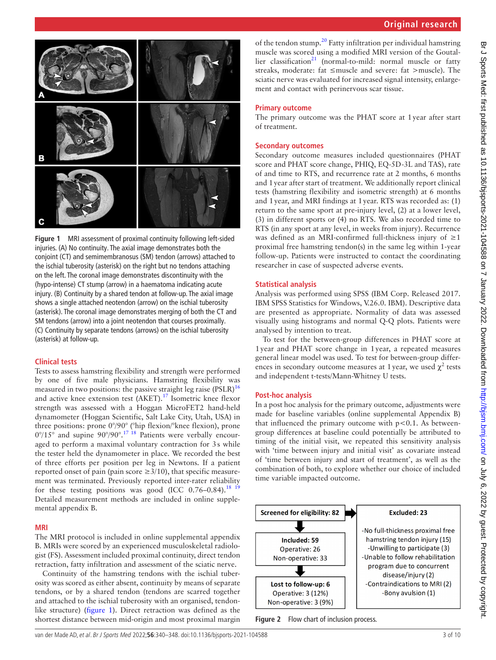



<span id="page-2-0"></span>**Figure 1** MRI assessment of proximal continuity following left-sided injuries. (A) No continuity. The axial image demonstrates both the conjoint (CT) and semimembranosus (SM) tendon (arrows) attached to the ischial tuberosity (asterisk) on the right but no tendons attaching on the left. The coronal image demonstrates discontinuity with the (hypo-intense) CT stump (arrow) in a haematoma indicating acute injury. (B) Continuity by a shared tendon at follow-up. The axial image shows a single attached neotendon (arrow) on the ischial tuberosity (asterisk). The coronal image demonstrates merging of both the CT and SM tendons (arrow) into a joint neotendon that courses proximally. (C) Continuity by separate tendons (arrows) on the ischial tuberosity (asterisk) at follow-up.

#### **Clinical tests**

Tests to assess hamstring flexibility and strength were performed by one of five male physicians. Hamstring flexibility was measured in two positions: the passive straight leg raise  $(PSLR)^{16}$  $(PSLR)^{16}$  $(PSLR)^{16}$ and active knee extension test (AKET).<sup>[17](#page-9-8)</sup> Isometric knee flexor strength was assessed with a Hoggan MicroFET2 hand-held dynamometer (Hoggan Scientific, Salt Lake City, Utah, USA) in three positions: prone 0°/90° (°hip flexion/°knee flexion), prone  $0^{\circ}/15^{\circ}$  and supine  $90^{\circ}/90^{\circ}$ .<sup>17 18</sup> Patients were verbally encouraged to perform a maximal voluntary contraction for 3s while the tester held the dynamometer in place. We recorded the best of three efforts per position per leg in Newtons. If a patient reported onset of pain (pain score  $\geq 3/10$ ), that specific measurement was terminated. Previously reported inter-rater reliability for these testing positions was good (ICC  $0.76-0.84$ ).<sup>18</sup> <sup>19</sup> Detailed measurement methods are included in [online supple](https://dx.doi.org/10.1136/bjsports-2021-104588)[mental appendix B.](https://dx.doi.org/10.1136/bjsports-2021-104588)

#### **MRI**

The MRI protocol is included in [online supplemental appendix](https://dx.doi.org/10.1136/bjsports-2021-104588)  [B](https://dx.doi.org/10.1136/bjsports-2021-104588). MRIs were scored by an experienced musculoskeletal radiologist (FS). Assessment included proximal continuity, direct tendon retraction, fatty infiltration and assessment of the sciatic nerve.

Continuity of the hamstring tendons with the ischial tuberosity was scored as either absent, continuity by means of separate tendons, or by a shared tendon (tendons are scarred together and attached to the ischial tuberosity with an organised, tendonlike structure) ([figure](#page-2-0) 1). Direct retraction was defined as the shortest distance between mid-origin and most proximal margin

of the tendon stump.[20](#page-9-10) Fatty infiltration per individual hamstring muscle was scored using a modified MRI version of the Goutallier classification<sup>21</sup> (normal-to-mild: normal muscle or fatty streaks, moderate: fat ≤muscle and severe: fat >muscle). The sciatic nerve was evaluated for increased signal intensity, enlargement and contact with perinervous scar tissue.

#### **Primary outcome**

The primary outcome was the PHAT score at 1year after start of treatment.

#### **Secondary outcomes**

Secondary outcome measures included questionnaires (PHAT score and PHAT score change, PHIQ, EQ-5D-3L and TAS), rate of and time to RTS, and recurrence rate at 2 months, 6 months and 1year after start of treatment. We additionally report clinical tests (hamstring flexibility and isometric strength) at 6 months and 1year, and MRI findings at 1year. RTS was recorded as: (1) return to the same sport at pre-injury level, (2) at a lower level, (3) in different sports or (4) no RTS. We also recorded time to RTS (in any sport at any level, in weeks from injury). Recurrence was defined as an MRI-confirmed full-thickness injury of  $\geq 1$ proximal free hamstring tendon(s) in the same leg within 1-year follow-up. Patients were instructed to contact the coordinating researcher in case of suspected adverse events.

#### **Statistical analysis**

Analysis was performed using SPSS (IBM Corp. Released 2017. IBM SPSS Statistics for Windows, V.26.0. IBM). Descriptive data are presented as appropriate. Normality of data was assessed visually using histograms and normal Q-Q plots. Patients were analysed by intention to treat.

To test for the between-group differences in PHAT score at 1year and PHAT score change in 1year, a repeated measures general linear model was used. To test for between-group differences in secondary outcome measures at 1 year, we used  $\chi^2$  tests and independent t-tests/Mann-Whitney U tests.

#### **Post-hoc analysis**

In a post hoc analysis for the primary outcome, adjustments were made for baseline variables ([online supplemental Appendix B](https://dx.doi.org/10.1136/bjsports-2021-104588)) that influenced the primary outcome with  $p<0.1$ . As betweengroup differences at baseline could potentially be attributed to timing of the initial visit, we repeated this sensitivity analysis with 'time between injury and initial visit' as covariate instead of 'time between injury and start of treatment', as well as the combination of both, to explore whether our choice of included time variable impacted outcome.



<span id="page-2-1"></span>**Figure 2** Flow chart of inclusion process.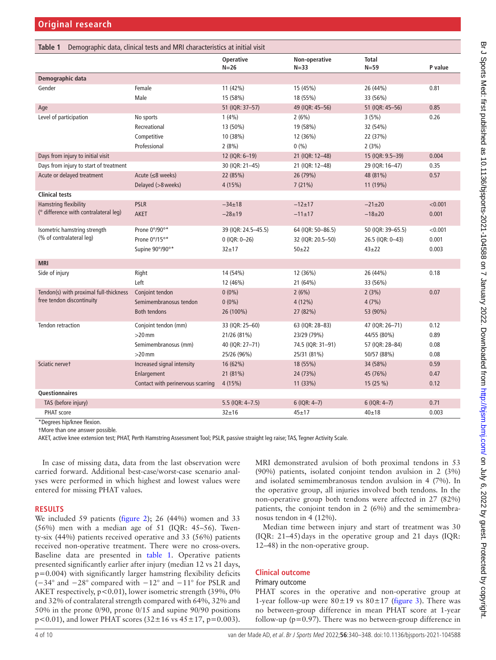<span id="page-3-0"></span>

| Table 1                                | Demographic data, clinical tests and MRI characteristics at initial visit |                            |                           |                          |         |
|----------------------------------------|---------------------------------------------------------------------------|----------------------------|---------------------------|--------------------------|---------|
|                                        |                                                                           | <b>Operative</b><br>$N=26$ | Non-operative<br>$N = 33$ | <b>Total</b><br>$N = 59$ | P value |
| Demographic data                       |                                                                           |                            |                           |                          |         |
| Gender                                 | Female                                                                    | 11 (42%)                   | 15 (45%)                  | 26 (44%)                 | 0.81    |
|                                        | Male                                                                      | 15 (58%)                   | 18 (55%)                  | 33 (56%)                 |         |
| Age                                    |                                                                           | 51 (IQR: 37-57)            | 49 (IQR: 45-56)           | 51 (IQR: 45-56)          | 0.85    |
| Level of participation                 | No sports                                                                 | 1(4%)                      | 2(6%)                     | 3(5%)                    | 0.26    |
|                                        | Recreational                                                              | 13 (50%)                   | 19 (58%)                  | 32 (54%)                 |         |
|                                        | Competitive                                                               | 10 (38%)                   | 12 (36%)                  | 22 (37%)                 |         |
|                                        | Professional                                                              | 2(8%)                      | 0(%)                      | 2(3%)                    |         |
| Days from injury to initial visit      |                                                                           | 12 (IQR: 6-19)             | 21 (IQR: 12-48)           | 15 (IQR: 9.5-39)         | 0.004   |
| Days from injury to start of treatment |                                                                           | 30 (IQR: 21-45)            | 21 (IQR: 12-48)           | 29 (IQR: 16-47)          | 0.35    |
| Acute or delayed treatment             | Acute $(\leq 8$ weeks)                                                    | 22 (85%)                   | 26 (79%)                  | 48 (81%)                 | 0.57    |
|                                        | Delayed (>8 weeks)                                                        | 4(15%)                     | 7(21%)                    | 11 (19%)                 |         |
| <b>Clinical tests</b>                  |                                                                           |                            |                           |                          |         |
| Hamstring flexibility                  | <b>PSLR</b>                                                               | $-34\pm18$                 | $-12+17$                  | $-21\pm 20$              | < 0.001 |
| (° difference with contralateral leg)  | <b>AKET</b>                                                               | $-28+19$                   | $-11\pm17$                | $-18+20$                 | 0.001   |
|                                        |                                                                           |                            |                           |                          |         |
| Isometric hamstring strength           | Prone 0°/90°*                                                             | 39 (IQR: 24.5-45.5)        | 64 (IQR: 50-86.5)         | 50 (IQR: 39-65.5)        | < 0.001 |
| (% of contralateral leg)               | Prone 0°/15°*                                                             | $0$ (IQR: 0-26)            | 32 (IQR: 20.5-50)         | 26.5 (IQR: 0-43)         | 0.001   |
|                                        | Supine 90°/90°*                                                           | $32 + 17$                  | $50 + 22$                 | $43 + 22$                | 0.003   |
| <b>MRI</b>                             |                                                                           |                            |                           |                          |         |
| Side of injury                         | Right                                                                     | 14 (54%)                   | 12 (36%)                  | 26 (44%)                 | 0.18    |
|                                        | Left                                                                      | 12 (46%)                   | 21 (64%)                  | 33 (56%)                 |         |
| Tendon(s) with proximal full-thickness | Conjoint tendon                                                           | $0(0\%)$                   | 2(6%)                     | 2(3%)                    | 0.07    |
| free tendon discontinuity              | Semimembranosus tendon                                                    | $0(0\%)$                   | $4(12\%)$                 | 4(7%)                    |         |
|                                        | <b>Both tendons</b>                                                       | 26 (100%)                  | 27 (82%)                  | 53 (90%)                 |         |
| Tendon retraction                      | Conjoint tendon (mm)                                                      | 33 (IQR: 25-60)            | 63 (IQR: 28-83)           | 47 (IQR: 26-71)          | 0.12    |
|                                        | $>20$ mm                                                                  | 21/26 (81%)                | 23/29 (79%)               | 44/55 (80%)              | 0.89    |
|                                        | Semimembranosus (mm)                                                      | 40 (IQR: 27-71)            | 74.5 (IQR: 31-91)         | 57 (IQR: 28-84)          | 0.08    |
|                                        | $>20$ mm                                                                  | 25/26 (96%)                | 25/31 (81%)               | 50/57 (88%)              | 0.08    |
| Sciatic nervet                         | Increased signal intensity                                                | 16 (62%)                   | 18 (55%)                  | 34 (58%)                 | 0.59    |
|                                        | Enlargement                                                               | 21 (81%)                   | 24 (73%)                  | 45 (76%)                 | 0.47    |
|                                        | Contact with perinervous scarring                                         | 4(15%)                     | 11 (33%)                  | 15(25%)                  | 0.12    |
| Questionnaires                         |                                                                           |                            |                           |                          |         |
| TAS (before injury)                    |                                                                           | 5.5 (IQR: 4-7.5)           | $6$ (IQR: 4-7)            | $6$ (IQR: 4-7)           | 0.71    |
| PHAT score                             |                                                                           | $32 + 16$                  | $45 + 17$                 | 40±18                    | 0.003   |

\*Degrees hip/knee flexion.

†More than one answer possible.

AKET, active knee extension test; PHAT, Perth Hamstring Assessment Tool; PSLR, passive straight leg raise; TAS, Tegner Activity Scale.

In case of missing data, data from the last observation were carried forward. Additional best-case/worst-case scenario analyses were performed in which highest and lowest values were entered for missing PHAT values.

#### **RESULTS**

We included 59 patients ([figure](#page-2-1) 2); 26 (44%) women and 33 (56%) men with a median age of 51 (IQR: 45–56). Twenty-six (44%) patients received operative and 33 (56%) patients received non-operative treatment. There were no cross-overs. Baseline data are presented in [table](#page-3-0) 1. Operative patients presented significantly earlier after injury (median 12 vs 21 days, p=0.004) with significantly larger hamstring flexibility deficits (−34° and −28° compared with −12° and −11° for PSLR and AKET respectively,  $p < 0.01$ ), lower isometric strength (39%, 0%) and 32% of contralateral strength compared with 64%, 32% and 50% in the prone 0/90, prone 0/15 and supine 90/90 positions  $p < 0.01$ ), and lower PHAT scores  $(32 \pm 16 \text{ vs } 45 \pm 17, p = 0.003)$ .

MRI demonstrated avulsion of both proximal tendons in 53 (90%) patients, isolated conjoint tendon avulsion in 2 (3%) and isolated semimembranosus tendon avulsion in 4 (7%). In the operative group, all injuries involved both tendons. In the non-operative group both tendons were affected in 27 (82%) patients, the conjoint tendon in 2 (6%) and the semimembranosus tendon in 4 (12%).

Median time between injury and start of treatment was 30  $(IQR: 21–45)$  days in the operative group and 21 days  $(IQR: 21–45)$ 12–48) in the non-operative group.

#### **Clinical outcome**

#### Primary outcome

PHAT scores in the operative and non-operative group at 1-year follow-up were  $80 \pm 19$  vs  $80 \pm 17$  [\(figure](#page-4-0) 3). There was no between-group difference in mean PHAT score at 1-year follow-up ( $p=0.97$ ). There was no between-group difference in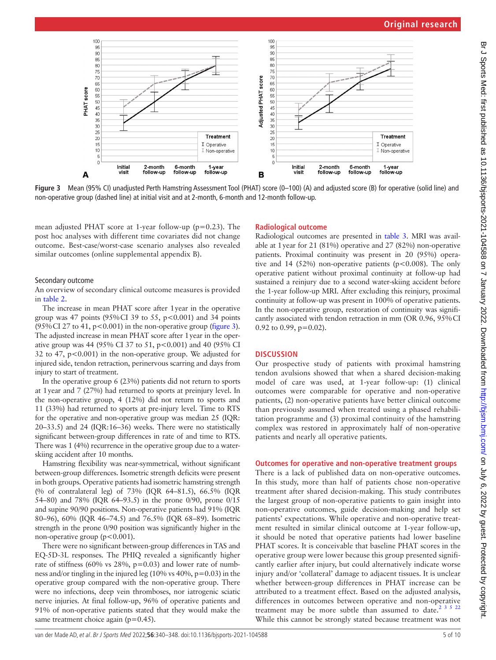

<span id="page-4-0"></span>**Figure 3** Mean (95% CI) unadjusted Perth Hamstring Assessment Tool (PHAT) score (0–100) (A) and adjusted score (B) for operative (solid line) and non-operative group (dashed line) at initial visit and at 2-month, 6-month and 12-month follow-up.

mean adjusted PHAT score at 1-year follow-up ( $p=0.23$ ). The post hoc analyses with different time covariates did not change outcome. Best-case/worst-case scenario analyses also revealed similar outcomes ([online supplemental appendix B](https://dx.doi.org/10.1136/bjsports-2021-104588)).

#### Secondary outcome

An overview of secondary clinical outcome measures is provided in [table](#page-5-0) 2.

The increase in mean PHAT score after 1year in the operative group was 47 points (95%CI 39 to 55, p<0.001) and 34 points  $(95\% \text{CI } 27 \text{ to } 41, \text{ p} < 0.001)$  in the non-operative group ([figure](#page-4-0) 3). The adjusted increase in mean PHAT score after 1year in the operative group was 44 (95% CI 37 to 51, p<0.001) and 40 (95% CI 32 to 47,  $p < 0.001$ ) in the non-operative group. We adjusted for injured side, tendon retraction, perinervous scarring and days from injury to start of treatment.

In the operative group 6 (23%) patients did not return to sports at 1year and 7 (27%) had returned to sports at preinjury level. In the non-operative group, 4 (12%) did not return to sports and 11 (33%) had returned to sports at pre-injury level. Time to RTS for the operative and non-operative group was median 25 (IQR: 20–33.5) and 24 (IQR:16–36) weeks. There were no statistically significant between-group differences in rate of and time to RTS. There was 1 (4%) recurrence in the operative group due to a waterskiing accident after 10 months.

Hamstring flexibility was near-symmetrical, without significant between-group differences. Isometric strength deficits were present in both groups. Operative patients had isometric hamstring strength (% of contralateral leg) of 73% (IQR 64–81.5), 66.5% (IQR 54–80) and 78% (IQR 64–93.5) in the prone 0/90, prone 0/15 and supine 90/90 positions. Non-operative patients had 91% (IQR 80–96), 60% (IQR 46–74.5) and 76.5% (IQR 68–89). Isometric strength in the prone 0/90 position was significantly higher in the non-operative group  $(p<0.001)$ .

There were no significant between-group differences in TAS and EQ-5D-3L responses. The PHIQ revealed a significantly higher rate of stiffness (60% vs 28%, p=0.03) and lower rate of numbness and/or tingling in the injured leg (10% vs 40%, p=0.03) in the operative group compared with the non-operative group. There were no infections, deep vein thromboses, nor iatrogenic sciatic nerve injuries. At final follow-up, 96% of operative patients and 91% of non-operative patients stated that they would make the same treatment choice again ( $p=0.45$ ).

#### **Radiological outcome**

Radiological outcomes are presented in [table](#page-7-0) 3. MRI was available at 1year for 21 (81%) operative and 27 (82%) non-operative patients. Proximal continuity was present in 20 (95%) operative and 14 (52%) non-operative patients ( $p < 0.008$ ). The only operative patient without proximal continuity at follow-up had sustained a reinjury due to a second water-skiing accident before the 1-year follow-up MRI. After excluding this reinjury, proximal continuity at follow-up was present in 100% of operative patients. In the non-operative group, restoration of continuity was significantly associated with tendon retraction in mm (OR 0.96, 95%CI 0.92 to 0.99,  $p=0.02$ ).

#### **DISCUSSION**

Our prospective study of patients with proximal hamstring tendon avulsions showed that when a shared decision-making model of care was used, at 1-year follow-up: (1) clinical outcomes were comparable for operative and non-operative patients, (2) non-operative patients have better clinical outcome than previously assumed when treated using a phased rehabilitation programme and (3) proximal continuity of the hamstring complex was restored in approximately half of non-operative patients and nearly all operative patients.

#### **Outcomes for operative and non-operative treatment groups**

There is a lack of published data on non-operative outcomes. In this study, more than half of patients chose non-operative treatment after shared decision-making. This study contributes the largest group of non-operative patients to gain insight into non-operative outcomes, guide decision-making and help set patients' expectations. While operative and non-operative treatment resulted in similar clinical outcome at 1-year follow-up, it should be noted that operative patients had lower baseline PHAT scores. It is conceivable that baseline PHAT scores in the operative group were lower because this group presented significantly earlier after injury, but could alternatively indicate worse injury and/or 'collateral' damage to adjacent tissues. It is unclear whether between-group differences in PHAT increase can be attributed to a treatment effect. Based on the adjusted analysis, differences in outcomes between operative and non-operative treatment may be more subtle than assumed to date.<sup>[2 3 5 22](#page-8-1)</sup> While this cannot be strongly stated because treatment was not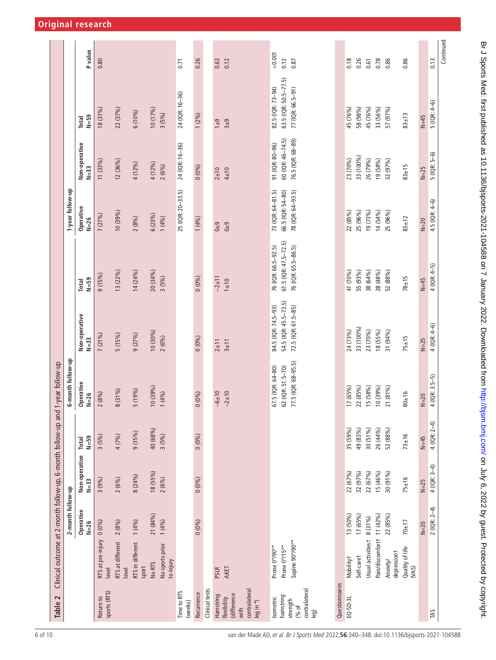<span id="page-5-0"></span>

| Operative<br>17 (65%)<br>22 (85%)<br>15 (58%)<br>10 (39%)<br>5 (19%)<br>8 (31%)<br>$-6 + 10$<br>$-2+10$<br>2(8%)<br>1(4%)<br>0(0%<br>$N = 26$<br>49 (83%)<br>30 (51%)<br>35 (59%)<br>40 (68%)<br>9 (15%)<br>4 (7%)<br>3(5%)<br>3(5%)<br>0(0%<br>$N = 59$<br>Total<br>Non-operative<br>18 (55%)<br>22 (67%)<br>32 (97%)<br>22 (67%)<br>8 (24%)<br>2(6%)<br>2(6%)<br>3(9%)<br>0(0%<br>$N=33$<br>2-month follow-up<br>Operative<br>21 (84%)<br>13 (50%)<br>17 (65%)<br>8 (31%)<br>1(4%)<br>2(8%)<br>1(4%)<br>$0(0\%)$<br>0(0%)<br>$N = 26$<br>RTS at pre-injury<br>Usual activitiest<br>Supine 90°/90°*<br>RTS at different<br>RTS in different<br>No sports prior<br>Prone 0°/15°*<br>Prone 0°/90°*<br>Self-caret<br><b>Mobilityt</b><br>to injury<br>No RTS<br>sport<br>level<br>AKET<br>PSLR<br>level<br>Questionnaires<br>contralateral<br>Clinical tests<br>contralateral<br>Time to RTS<br>sports (RTS)<br>Recurrence<br>(difference<br>Hamstring<br>hamstring<br>sometric<br>Return to<br>flexibility<br>$EQ - 5D - 3L$<br>strength<br>leg in °)<br>(weeks)<br>(% of<br>with<br>leg) |                           |          | 6-month follow-up                                             | Non-operative<br>10 (30%)<br>5 (15%)<br>9 (27%)<br>7(21%)<br>2(6%)<br>$N = 33$<br>$0(0\%)$<br>$3\pm11$<br>$2 \pm 11$ | 13 (22%)<br>14 (24%)<br>20 (34%)<br>9(15%)<br>3(5%)<br>$0(0\%)$<br>$N = 59$<br>Total | 1-year follow-up<br>Operative<br>10 (39%)<br>7 (27%)<br>2(8%)<br>$N = 26$ | Non-operative<br>12 (36%)<br>11 (33%)<br>$N=33$           | 18 (31%)<br>$N = 59$<br>Total                                   | P value<br>0.80       |
|------------------------------------------------------------------------------------------------------------------------------------------------------------------------------------------------------------------------------------------------------------------------------------------------------------------------------------------------------------------------------------------------------------------------------------------------------------------------------------------------------------------------------------------------------------------------------------------------------------------------------------------------------------------------------------------------------------------------------------------------------------------------------------------------------------------------------------------------------------------------------------------------------------------------------------------------------------------------------------------------------------------------------------------------------------------------------------------|---------------------------|----------|---------------------------------------------------------------|----------------------------------------------------------------------------------------------------------------------|--------------------------------------------------------------------------------------|---------------------------------------------------------------------------|-----------------------------------------------------------|-----------------------------------------------------------------|-----------------------|
|                                                                                                                                                                                                                                                                                                                                                                                                                                                                                                                                                                                                                                                                                                                                                                                                                                                                                                                                                                                                                                                                                          |                           |          |                                                               |                                                                                                                      |                                                                                      |                                                                           |                                                           |                                                                 |                       |
|                                                                                                                                                                                                                                                                                                                                                                                                                                                                                                                                                                                                                                                                                                                                                                                                                                                                                                                                                                                                                                                                                          |                           |          |                                                               |                                                                                                                      |                                                                                      |                                                                           |                                                           |                                                                 |                       |
|                                                                                                                                                                                                                                                                                                                                                                                                                                                                                                                                                                                                                                                                                                                                                                                                                                                                                                                                                                                                                                                                                          |                           |          |                                                               |                                                                                                                      |                                                                                      |                                                                           |                                                           |                                                                 |                       |
|                                                                                                                                                                                                                                                                                                                                                                                                                                                                                                                                                                                                                                                                                                                                                                                                                                                                                                                                                                                                                                                                                          |                           |          |                                                               |                                                                                                                      |                                                                                      |                                                                           |                                                           | 22 (37%)                                                        |                       |
|                                                                                                                                                                                                                                                                                                                                                                                                                                                                                                                                                                                                                                                                                                                                                                                                                                                                                                                                                                                                                                                                                          |                           |          |                                                               |                                                                                                                      |                                                                                      |                                                                           | 4 (12%)                                                   | 6 (10%)                                                         |                       |
|                                                                                                                                                                                                                                                                                                                                                                                                                                                                                                                                                                                                                                                                                                                                                                                                                                                                                                                                                                                                                                                                                          |                           |          |                                                               |                                                                                                                      |                                                                                      | 6(23%)<br>(4%)                                                            | 4 (12%)<br>2(6%)                                          | 10 (17%)<br>3(5%)                                               |                       |
|                                                                                                                                                                                                                                                                                                                                                                                                                                                                                                                                                                                                                                                                                                                                                                                                                                                                                                                                                                                                                                                                                          |                           |          |                                                               |                                                                                                                      |                                                                                      | 25 (IQR: 20-33.5)                                                         | 24 (IQR: 16-36)                                           | 24 (IQR: 16-36)                                                 | 0.71                  |
|                                                                                                                                                                                                                                                                                                                                                                                                                                                                                                                                                                                                                                                                                                                                                                                                                                                                                                                                                                                                                                                                                          |                           |          |                                                               |                                                                                                                      |                                                                                      | 1(4%)                                                                     | 0(0%                                                      | $1(2\%)$                                                        | 0.26                  |
|                                                                                                                                                                                                                                                                                                                                                                                                                                                                                                                                                                                                                                                                                                                                                                                                                                                                                                                                                                                                                                                                                          |                           |          |                                                               |                                                                                                                      |                                                                                      |                                                                           |                                                           |                                                                 |                       |
|                                                                                                                                                                                                                                                                                                                                                                                                                                                                                                                                                                                                                                                                                                                                                                                                                                                                                                                                                                                                                                                                                          |                           |          |                                                               |                                                                                                                      | $-2 \pm 11$<br>$1 \pm 10$                                                            | $0\pm9$<br>$0+9$                                                          | $4\pm10$<br>$2 + 10$                                      | $3 + 9$<br>$1\pm9$                                              | 0.63<br>0.12          |
|                                                                                                                                                                                                                                                                                                                                                                                                                                                                                                                                                                                                                                                                                                                                                                                                                                                                                                                                                                                                                                                                                          |                           |          | 77.5 (IQR: 68-95.5)<br>62 (IQR: 51.5-70)<br>67.5 (IQR: 64-80) | 54.5 (IQR: 45.5-73.5)<br>84.5 (IQR: 74.5-93)<br>72.5 (IQR: 61.5-85)                                                  | $61.5$ (IQR: $47.5 - 72.5$ )<br>76 (IQR: 66.5-92.5)<br>76 (IQR: 65.5-86.5)           | 73 (IQR: 64-81.5)<br>66.5 (IQR: 54-80)<br>78 (IQR: 64-93.5)               | 60 (IQR: 46-74.5)<br>76.5 (IQR: 68-89)<br>91 (IQR: 80-96) | 63.5 (IQR: 50.5-77.5)<br>82.5 (IQR: 73-94)<br>77 (IQR: 66.5-91) | 0.001<br>0.12<br>0.87 |
|                                                                                                                                                                                                                                                                                                                                                                                                                                                                                                                                                                                                                                                                                                                                                                                                                                                                                                                                                                                                                                                                                          |                           |          |                                                               |                                                                                                                      |                                                                                      |                                                                           |                                                           |                                                                 |                       |
|                                                                                                                                                                                                                                                                                                                                                                                                                                                                                                                                                                                                                                                                                                                                                                                                                                                                                                                                                                                                                                                                                          |                           |          |                                                               | 33 (100%)<br>24 (73%)                                                                                                | 41 (70%)<br>55 (93%)                                                                 | 22 (85%)<br>25 (96%)                                                      | 33 (100%)<br>23 (70%)                                     | 58 (98%)<br>45 (76%)                                            | 0.18<br>0.26          |
|                                                                                                                                                                                                                                                                                                                                                                                                                                                                                                                                                                                                                                                                                                                                                                                                                                                                                                                                                                                                                                                                                          |                           |          |                                                               | 23 (70%)                                                                                                             | 38 (64%)                                                                             | 19 (73%)                                                                  | 26 (79%)                                                  | 45 (76%)                                                        | 0.61                  |
| 15 (46%)                                                                                                                                                                                                                                                                                                                                                                                                                                                                                                                                                                                                                                                                                                                                                                                                                                                                                                                                                                                                                                                                                 | Pain/discomfortt 11 (42%) | 26 (44%) | 10 (39%)                                                      | 18 (55%)                                                                                                             | 28 (48%)                                                                             | 14 (54%)                                                                  | 19 (58%)                                                  | 33 (56%)                                                        | 0.78<br>0.86          |
| 21 (81%)<br>52 (88%)<br>30 (91%)<br>22 (85%)<br>depressiont<br>Anxiety/                                                                                                                                                                                                                                                                                                                                                                                                                                                                                                                                                                                                                                                                                                                                                                                                                                                                                                                                                                                                                  |                           |          |                                                               | 31 (94%)                                                                                                             | 52 (88%)                                                                             | 25 (96%)                                                                  | 32 (97%)                                                  | 57 (97%)                                                        |                       |
| $80 + 16$<br>$73 \pm 16$<br>$75 \pm 16$<br>$70 + 17$<br>Quality of life<br>(MAS)                                                                                                                                                                                                                                                                                                                                                                                                                                                                                                                                                                                                                                                                                                                                                                                                                                                                                                                                                                                                         |                           |          |                                                               | $75 \pm 15$                                                                                                          | $78 + 15$                                                                            | $83 + 12$                                                                 | $83 + 15$                                                 | $83 + 13$                                                       | 0.86                  |
| $N=20$<br>$N=45$<br>$N=25$<br>$N=20$                                                                                                                                                                                                                                                                                                                                                                                                                                                                                                                                                                                                                                                                                                                                                                                                                                                                                                                                                                                                                                                     |                           |          |                                                               | $N=25$                                                                                                               | $N=45$                                                                               | $N=20$                                                                    | $N=25$                                                    | $N=45$                                                          |                       |
| $4 (IQR: 3.5-5)$<br>4 (IQR: 2-4)<br>4 (IQR: 3-4)<br>$2(1QR: 2-4)$<br>TAS                                                                                                                                                                                                                                                                                                                                                                                                                                                                                                                                                                                                                                                                                                                                                                                                                                                                                                                                                                                                                 |                           |          |                                                               | $4(1QR: 4-6)$                                                                                                        | $4(1QR: 4-5)$                                                                        | 4.5 (IQR: 4-6)                                                            | $5(1QR: 5-6)$                                             | $5(1QR:4-6)$                                                    | 0.13                  |
|                                                                                                                                                                                                                                                                                                                                                                                                                                                                                                                                                                                                                                                                                                                                                                                                                                                                                                                                                                                                                                                                                          |                           |          |                                                               |                                                                                                                      |                                                                                      |                                                                           |                                                           |                                                                 | Continued             |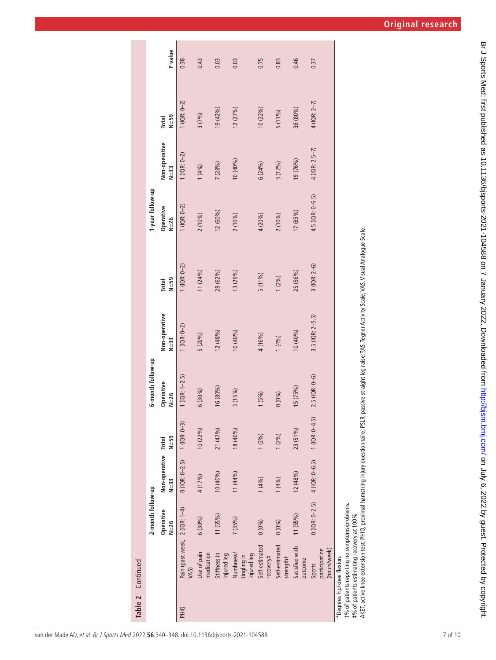|      | Table 2 Continued                                                                                                                                                                                                    |                     |                         |                   |                       |                         |                                                                                     |                       |                         |                   |         |
|------|----------------------------------------------------------------------------------------------------------------------------------------------------------------------------------------------------------------------|---------------------|-------------------------|-------------------|-----------------------|-------------------------|-------------------------------------------------------------------------------------|-----------------------|-------------------------|-------------------|---------|
|      |                                                                                                                                                                                                                      | 2-month follow-up   |                         |                   | 6-month follow-up     |                         |                                                                                     | 1-year follow-up      |                         |                   |         |
|      |                                                                                                                                                                                                                      | Operative<br>$N=26$ | Non-operative<br>$N=33$ | $N = 59$<br>Total | Operative<br>$N = 26$ | Non-operative<br>$N=33$ | $N = 59$<br>Total                                                                   | Operative<br>$N = 26$ | Non-operative<br>$N=33$ | $N = 59$<br>Total | P value |
| PHIQ | Pain (past week, 2 (IQR: 1-4)<br>VAS)                                                                                                                                                                                |                     | $0(1QR: 0-2.5)$         | $1$ (IQR: 0-3)    | $1$ (IQR: $1-2.5$ )   | $1$ (IQR: 0-2)          | $1$ (IQR: 0-2)                                                                      | $1$ (IQR: 0-2)        | $1$ (IQR: 0-2)          | $(1QR: 0-2)$      | 0.38    |
|      | Use of pain<br>medication                                                                                                                                                                                            | $6(30\%)$           | 4 (17%)                 | 10(22%)           | 6 (30%)               | 5 (20%)                 | 11 (24%)                                                                            | 2(10%)                | 1(4%)                   | 3(7%)             | 0.43    |
|      | Stiffness in<br>injured leg                                                                                                                                                                                          | 11 (55%)            | 10 (40%)                | 21 (47%)          | 16 (80%)              | 12 (48%)                | 28 (62%)                                                                            | 12 (60%)              | 7(28%)                  | 19(42%)           | 0.03    |
|      | Numbness/<br>injured leg<br>tingling in                                                                                                                                                                              | 7(35%)              | 11 (44%)                | 18 (40%)          | 3(15%)                | 10 (40%)                | 13(29%)                                                                             | 2(10%)                | 10(40%)                 | 12(27%)           | 0.03    |
|      | Self-estimated<br>recovery#                                                                                                                                                                                          | 0(0%)               | 1(4%)                   | 1(2%)             | 1(5%)                 | 4 (16%)                 | 5(11%)                                                                              | 4 (20%)               | 6(24%)                  | $10(22\%)$        | 0.75    |
|      | Self-estimated<br>strength#                                                                                                                                                                                          | 0(0%)               | 1(4%)                   | $1(2\%)$          | 0(0%)                 | (9/6)                   | $1(2\%)$                                                                            | 2(10%)                | 3(12%)                  | 5(11%)            | 0.83    |
|      | Satisfied with<br>outcome                                                                                                                                                                                            | 11 (55%)            | 12(48%)                 | 23 (51%)          | I5(75%)               | 10 (40%)                | 25 (56%)                                                                            | 17 (85%)              | 19 (76%)                | 36 (80%)          | 0.46    |
|      | (hours/week)<br>participation<br>Sports                                                                                                                                                                              | $0(1QR: 0-2.5)$     | 4 (IQR: 0-6.5)          | $1$ (IQR: 0-4.5)  | $2.5($ IQR: 0-6)      | $3.5($ IQR: 2-5.5)      | $3(1QR: 2-6)$                                                                       | 4.5 (IQR: 0-6.5)      | $4$ (IQR: 2.5-7)        | 4 (IQR: 2–7)      | 0.37    |
|      | AKET, active knee extension test; PHIQ, proximal hamstring injury questionnaire; PSLR,<br>t% of patients reporting no symptoms/problems.<br>#% of patients estimating recovery at 100%<br>*Degrees hip/knee flexion. |                     |                         |                   |                       |                         | passive straight leg raise; TAS, Tegner Activity Scale; VAS, Visual Analogue Scale. |                       |                         |                   |         |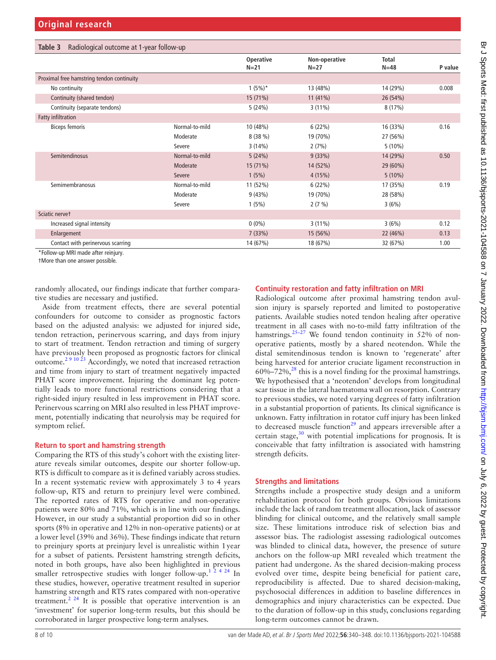<span id="page-7-0"></span>

| Radiological outcome at 1-year follow-up<br>Table 3 |                |                     |                         |                        |         |
|-----------------------------------------------------|----------------|---------------------|-------------------------|------------------------|---------|
|                                                     |                | Operative<br>$N=21$ | Non-operative<br>$N=27$ | <b>Total</b><br>$N=48$ | P value |
| Proximal free hamstring tendon continuity           |                |                     |                         |                        |         |
| No continuity                                       |                | $1(5\%)^*$          | 13 (48%)                | 14 (29%)               | 0.008   |
| Continuity (shared tendon)                          |                | 15 (71%)            | $11(41\%)$              | 26 (54%)               |         |
| Continuity (separate tendons)                       |                | 5(24%)              | $3(11\%)$               | 8(17%)                 |         |
| <b>Fatty infiltration</b>                           |                |                     |                         |                        |         |
| <b>Biceps femoris</b>                               | Normal-to-mild | 10 (48%)            | 6(22%)                  | 16 (33%)               | 0.16    |
|                                                     | Moderate       | 8(38%)              | 19 (70%)                | 27 (56%)               |         |
|                                                     | Severe         | 3(14%)              | 2(7%)                   | $5(10\%)$              |         |
| Semitendinosus                                      | Normal-to-mild | 5(24%)              | 9(33%)                  | 14 (29%)               | 0.50    |
|                                                     | Moderate       | 15 (71%)            | 14 (52%)                | 29 (60%)               |         |
|                                                     | Severe         | 1(5%)               | 4(15%)                  | $5(10\%)$              |         |
| Semimembranosus                                     | Normal-to-mild | 11 (52%)            | 6(22%)                  | 17 (35%)               | 0.19    |
|                                                     | Moderate       | 9(43%)              | 19 (70%)                | 28 (58%)               |         |
|                                                     | Severe         | 1(5%)               | $2(7\%)$                | 3(6%)                  |         |
| Sciatic nervet                                      |                |                     |                         |                        |         |
| Increased signal intensity                          |                | $0(0\%)$            | $3(11\%)$               | 3(6%)                  | 0.12    |
| Enlargement                                         |                | 7(33%)              | 15 (56%)                | 22 (46%)               | 0.13    |
| Contact with perinervous scarring                   |                | 14 (67%)            | 18 (67%)                | 32 (67%)               | 1.00    |
| $*F_2H_3$ and $MDI_1$ and $A_2$ and $A_3$           |                |                     |                         |                        |         |

Follow-up MRI made after reinjury. †More than one answer possible.

randomly allocated, our findings indicate that further comparative studies are necessary and justified.

Aside from treatment effects, there are several potential confounders for outcome to consider as prognostic factors based on the adjusted analysis: we adjusted for injured side, tendon retraction, perinervous scarring, and days from injury to start of treatment. Tendon retraction and timing of surgery have previously been proposed as prognostic factors for clinical outcome.[2 9 10 23](#page-8-1) Accordingly, we noted that increased retraction and time from injury to start of treatment negatively impacted PHAT score improvement. Injuring the dominant leg potentially leads to more functional restrictions considering that a right-sided injury resulted in less improvement in PHAT score. Perinervous scarring on MRI also resulted in less PHAT improvement, potentially indicating that neurolysis may be required for symptom relief.

#### **Return to sport and hamstring strength**

Comparing the RTS of this study's cohort with the existing literature reveals similar outcomes, despite our shorter follow-up. RTS is difficult to compare as it is defined variably across studies. In a recent systematic review with approximately 3 to 4 years follow-up, RTS and return to preinjury level were combined. The reported rates of RTS for operative and non-operative patients were 80% and 71%, which is in line with our findings. However, in our study a substantial proportion did so in other sports (8% in operative and 12% in non-operative patients) or at a lower level (39% and 36%). These findings indicate that return to preinjury sports at preinjury level is unrealistic within 1year for a subset of patients. Persistent hamstring strength deficits, noted in both groups, have also been highlighted in previous smaller retrospective studies with longer follow-up.<sup>1 2 4 24</sup> In these studies, however, operative treatment resulted in superior hamstring strength and RTS rates compared with non-operative treatment.<sup>2 24</sup> It is possible that operative intervention is an 'investment' for superior long-term results, but this should be corroborated in larger prospective long-term analyses.

#### **Continuity restoration and fatty infiltration on MRI**

Radiological outcome after proximal hamstring tendon avulsion injury is sparsely reported and limited to postoperative patients. Available studies noted tendon healing after operative treatment in all cases with no-to-mild fatty infiltration of the hamstrings.<sup>[25–27](#page-9-12)</sup> We found tendon continuity in 52% of nonoperative patients, mostly by a shared neotendon. While the distal semitendinosus tendon is known to 'regenerate' after being harvested for anterior cruciate ligament reconstruction in  $60\% - 72\%$ ,  $28$  this is a novel finding for the proximal hamstrings. We hypothesised that a 'neotendon' develops from longitudinal scar tissue in the lateral haematoma wall on resorption. Contrary to previous studies, we noted varying degrees of fatty infiltration in a substantial proportion of patients. Its clinical significance is unknown. Fatty infiltration in rotator cuff injury has been linked to decreased muscle function $2^9$  and appears irreversible after a certain stage, $30$  with potential implications for prognosis. It is conceivable that fatty infiltration is associated with hamstring strength deficits.

## **Strengths and limitations**

Strengths include a prospective study design and a uniform rehabilitation protocol for both groups. Obvious limitations include the lack of random treatment allocation, lack of assessor blinding for clinical outcome, and the relatively small sample size. These limitations introduce risk of selection bias and assessor bias. The radiologist assessing radiological outcomes was blinded to clinical data, however, the presence of suture anchors on the follow-up MRI revealed which treatment the patient had undergone. As the shared decision-making process evolved over time, despite being beneficial for patient care, reproducibility is affected. Due to shared decision-making, psychosocial differences in addition to baseline differences in demographics and injury characteristics can be expected. Due to the duration of follow-up in this study, conclusions regarding long-term outcomes cannot be drawn.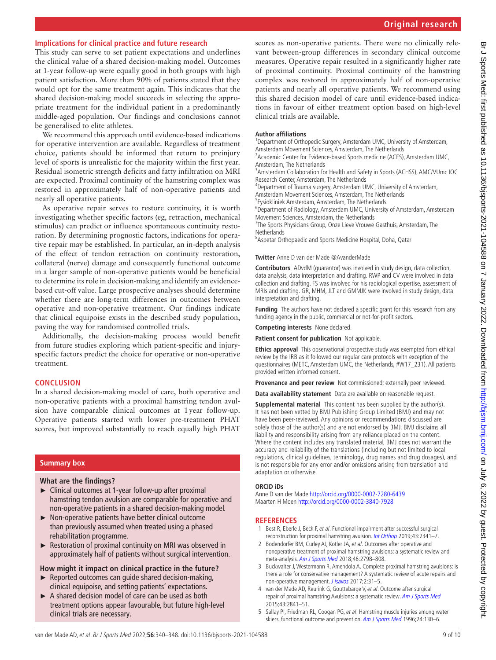# **Implications for clinical practice and future research**

This study can serve to set patient expectations and underlines the clinical value of a shared decision-making model. Outcomes at 1-year follow-up were equally good in both groups with high patient satisfaction. More than 90% of patients stated that they would opt for the same treatment again. This indicates that the shared decision-making model succeeds in selecting the appropriate treatment for the individual patient in a predominantly middle-aged population. Our findings and conclusions cannot be generalised to elite athletes.

We recommend this approach until evidence-based indications for operative intervention are available. Regardless of treatment choice, patients should be informed that return to preinjury level of sports is unrealistic for the majority within the first year. Residual isometric strength deficits and fatty infiltration on MRI are expected. Proximal continuity of the hamstring complex was restored in approximately half of non-operative patients and nearly all operative patients.

As operative repair serves to restore continuity, it is worth investigating whether specific factors (eg, retraction, mechanical stimulus) can predict or influence spontaneous continuity restoration. By determining prognostic factors, indications for operative repair may be established. In particular, an in-depth analysis of the effect of tendon retraction on continuity restoration, collateral (nerve) damage and consequently functional outcome in a larger sample of non-operative patients would be beneficial to determine its role in decision-making and identify an evidencebased cut-off value. Large prospective analyses should determine whether there are long-term differences in outcomes between operative and non-operative treatment. Our findings indicate that clinical equipoise exists in the described study population, paving the way for randomised controlled trials.

Additionally, the decision-making process would benefit from future studies exploring which patient-specific and injuryspecific factors predict the choice for operative or non-operative treatment.

# **CONCLUSION**

In a shared decision-making model of care, both operative and non-operative patients with a proximal hamstring tendon avulsion have comparable clinical outcomes at 1year follow-up. Operative patients started with lower pre-treatment PHAT scores, but improved substantially to reach equally high PHAT

# **Summary box**

# **What are the findings?**

- ► Clinical outcomes at 1-year follow-up after proximal hamstring tendon avulsion are comparable for operative and non-operative patients in a shared decision-making model.
- ► Non-operative patients have better clinical outcome than previously assumed when treated using a phased rehabilitation programme.
- ► Restoration of proximal continuity on MRI was observed in approximately half of patients without surgical intervention.

# **How might it impact on clinical practice in the future?**

- $\blacktriangleright$  Reported outcomes can quide shared decision-making, clinical equipoise, and setting patients' expectations.
- A shared decision model of care can be used as both treatment options appear favourable, but future high-level clinical trials are necessary.

scores as non-operative patients. There were no clinically relevant between-group differences in secondary clinical outcome measures. Operative repair resulted in a significantly higher rate of proximal continuity. Proximal continuity of the hamstring complex was restored in approximately half of non-operative patients and nearly all operative patients. We recommend using this shared decision model of care until evidence-based indications in favour of either treatment option based on high-level clinical trials are available.

#### **Author affiliations**

<sup>1</sup>Department of Orthopedic Surgery, Amsterdam UMC, University of Amsterdam, Amsterdam Movement Sciences, Amsterdam, The Netherlands

<sup>2</sup> Academic Center for Evidence-based Sports medicine (ACES), Amsterdam UMC,

Amsterdam, The Netherlands <sup>3</sup> Amsterdam Collaboration for Health and Safety in Sports (ACHSS), AMC/VUmc IOC

Research Center, Amsterdam, The Netherlands

4 Department of Trauma surgery, Amsterdam UMC, University of Amsterdam, Amsterdam Movement Sciences, Amsterdam, The Netherlands

<sup>5</sup> Fysiokliniek Amsterdam, Amsterdam, The Netherlands

<sup>6</sup>Department of Radiology, Amsterdam UMC, University of Amsterdam, Amsterdam Movement Sciences, Amsterdam, the Netherlands

<sup>7</sup>The Sports Physicians Group, Onze Lieve Vrouwe Gasthuis, Amsterdam, The **Netherlands** 

<sup>8</sup> Aspetar Orthopaedic and Sports Medicine Hospital, Doha, Qatar

## **Twitter** Anne D van der Made [@AvanderMade](https://twitter.com/AvanderMade)

**Contributors** ADvdM (guarantor) was involved in study design, data collection, data analysis, data interpretation and drafting. RWP and CV were involved in data collection and drafting. FS was involved for his radiological expertise, assessment of MRIs and drafting. GR, MHM, JLT and GMMJK were involved in study design, data interpretation and drafting.

**Funding** The authors have not declared a specific grant for this research from any funding agency in the public, commercial or not-for-profit sectors.

**Competing interests** None declared.

**Patient consent for publication** Not applicable.

**Ethics approval** This observational prospective study was exempted from ethical review by the IRB as it followed our regular care protocols with exception of the questionnaires (METC, Amsterdam UMC, the Netherlands, #W17\_231). All patients provided written informed consent.

**Provenance and peer review** Not commissioned; externally peer reviewed.

**Data availability statement** Data are available on reasonable request.

**Supplemental material** This content has been supplied by the author(s). It has not been vetted by BMJ Publishing Group Limited (BMJ) and may not have been peer-reviewed. Any opinions or recommendations discussed are solely those of the author(s) and are not endorsed by BMJ. BMJ disclaims all liability and responsibility arising from any reliance placed on the content. Where the content includes any translated material, BMJ does not warrant the accuracy and reliability of the translations (including but not limited to local regulations, clinical guidelines, terminology, drug names and drug dosages), and is not responsible for any error and/or omissions arising from translation and adaptation or otherwise.

# **ORCID iDs**

Anne D van der Made<http://orcid.org/0000-0002-7280-6439> Maarten H Moen<http://orcid.org/0000-0002-3840-7928>

# **REFERENCES**

- <span id="page-8-0"></span>1 Best R, Eberle J, Beck F, et al. Functional impairment after successful surgical reconstruction for proximal hamstring avulsion. [Int Orthop](http://dx.doi.org/10.1007/s00264-018-4263-6) 2019;43:2341–7.
- <span id="page-8-1"></span>2 Bodendorfer BM, Curley AJ, Kotler JA, et al. Outcomes after operative and nonoperative treatment of proximal hamstring avulsions: a systematic review and meta-analysis. [Am J Sports Med](http://dx.doi.org/10.1177/0363546517732526) 2018;46:2798–808.
- 3 Buckwalter J, Westermann R, Amendola A. Complete proximal hamstring avulsions: is there a role for conservative management? A systematic review of acute repairs and non-operative management. *[J Isakos](http://dx.doi.org/10.1136/jisakos-2016-000105)* 2017;2:31-5.
- 4 van der Made AD, Reurink G, Gouttebarge V, et al. Outcome after surgical repair of proximal hamstring Avulsions: a systematic review. [Am J Sports Med](http://dx.doi.org/10.1177/0363546514555327) 2015;43:2841–51.
- 5 Sallay PI, Friedman RL, Coogan PG, et al. Hamstring muscle injuries among water skiers. functional outcome and prevention. [Am J Sports Med](http://dx.doi.org/10.1177/036354659602400202) 1996;24:130-6.